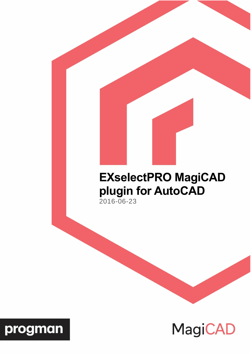# **EXselectPRO MagiCAD plugin for AutoCAD**

2016-06-23



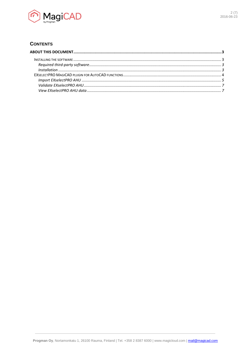

## **CONTENTS**

| $\label{eq:1} \emph{Instantalation} \,\, \ldots \,\, \ldots \,\, \ldots \,\, \ldots \,\, \ldots \,\, \ldots \,\, \ldots \,\, \ldots \,\, \ldots \,\, \ldots \,\, \ldots \,\, \ldots \,\, \ldots \,\, \ldots \,\, \ldots \,\, \ldots \,\, \ldots \,\, \ldots \,\, \ldots \,\, \ldots \,\, \ldots \,\, \ldots \,\, \ldots \,\, \ldots \,\, \ldots \,\, \ldots \,\, \ldots \,\, \ldots \,\, \ldots \,\, \ldots \,\, \ldots \,\, \ldots \,\, \ldots \,\, \ldots \$ |  |
|----------------------------------------------------------------------------------------------------------------------------------------------------------------------------------------------------------------------------------------------------------------------------------------------------------------------------------------------------------------------------------------------------------------------------------------------------------------|--|
|                                                                                                                                                                                                                                                                                                                                                                                                                                                                |  |
|                                                                                                                                                                                                                                                                                                                                                                                                                                                                |  |
|                                                                                                                                                                                                                                                                                                                                                                                                                                                                |  |
|                                                                                                                                                                                                                                                                                                                                                                                                                                                                |  |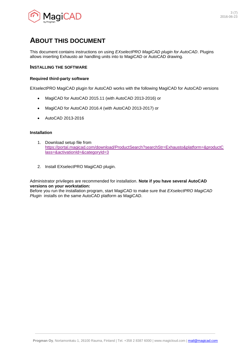

## <span id="page-2-0"></span>**ABOUT THIS DOCUMENT**

This document contains instructions on using *EXselectPRO MagiCAD plugin for AutoCAD*. Plugins allows inserting Exhausto air handling units into to MagiCAD or AutoCAD drawing.

## <span id="page-2-1"></span>**INSTALLING THE SOFTWARE**

## <span id="page-2-2"></span>**Required third-party software**

EXselectPRO MagiCAD plugin for AutoCAD works with the following MagiCAD for AutoCAD versions

- MagiCAD for AutoCAD 2015.11 (with AutoCAD 2013-2016) or
- MagiCAD for AutoCAD 2016.4 (with AutoCAD 2013-2017) or
- AutoCAD 2013-2016

#### <span id="page-2-3"></span>**Installation**

- 1. Download setup file from [https://portal.magicad.com/download/ProductSearch?searchStr=Exhausto&platform=&productC](https://portal.magicad.com/download/ProductSearch?searchStr=Exhausto&platform=&productClass=&activationId=&categoryId=3) [lass=&activationId=&categoryId=3](https://portal.magicad.com/download/ProductSearch?searchStr=Exhausto&platform=&productClass=&activationId=&categoryId=3)
- 2. Install EXselectPRO MagiCAD plugin.

Administrator privileges are recommended for installation. **Note if you have several AutoCAD versions on your workstation:**

Before you run the installation program, start MagiCAD to make sure that *EXselectPRO MagiCAD Plugin* installs on the same AutoCAD platform as MagiCAD.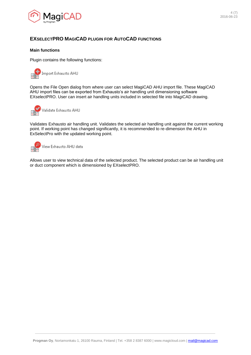

## <span id="page-3-0"></span>**EXSELECTPRO MAGICAD PLUGIN FOR AUTOCAD FUNCTIONS**

### **Main functions**

Plugin contains the following functions:



Opens the File Open dialog from where user can select MagiCAD AHU import file. These MagiCAD AHU import files can be exported from Exhausto's air handling unit dimensioning software EXselectPRO. User can insert air handling units included in selected file into MagiCAD drawing.



Validates Exhausto air handling unit. Validates the selected air handling unit against the current working point. If working point has changed significantly, it is recommended to re-dimension the AHU in ExSelectPro with the updated working point.



Allows user to view technical data of the selected product. The selected product can be air handling unit or duct component which is dimensioned by EXselectPRO.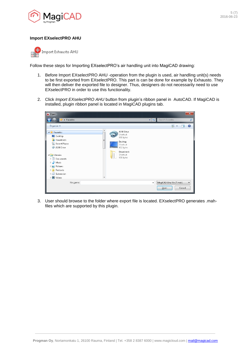

## <span id="page-4-0"></span>**Import EXselectPRO AHU**



Follow these steps for Importing EXselectPRO's air handling unit into MagiCAD drawing:

- 1. Before Import EXselectPRO AHU -operation from the plugin is used, air handling unit(s) needs to be first exported from EXselectPRO. This part is can be done for example by Exhausto. They will then deliver the exported file to designer. Thus, designers do not necessarily need to use EXselectPRO in order to use this functionality.
- 2. Click *Import EXselectPRO AHU* button from plugin's ribbon panel in AutoCAD. If MagiCAD is installed, plugin ribbon panel is located in MagiCAD plugins tab.

| A Open                                                                                                                                              |        |                                                                         |                           |                                  |        | $\mathbf{x}$             |
|-----------------------------------------------------------------------------------------------------------------------------------------------------|--------|-------------------------------------------------------------------------|---------------------------|----------------------------------|--------|--------------------------|
| Favorites                                                                                                                                           |        |                                                                         | $\mathbf{v}$ $\mathbf{t}$ | Search Favorites                 |        | م                        |
| Organize $\blacktriangledown$                                                                                                                       |        |                                                                         |                           | $rac{c}{M}$ = $\rightarrow$      | π      | $\odot$                  |
| <b>4 X</b> Favorites<br>Desktop<br>Downloads<br>Uń.<br><b>Recent Places</b><br>99<br>A360 Drive<br>$\Rightarrow$                                    | ▲<br>Ξ | A360 Drive<br>Shortcut<br>809 bytes<br>Desktop<br>Shortcut<br>432 bytes |                           |                                  |        |                          |
| 4 Libraries<br>B<br>Documents<br>Þ<br>Music<br>Þ<br>$\triangleright$ $\blacksquare$ Pictures<br>Podcasts<br>Þ<br>Subversion<br><b>M</b> Videos<br>Þ |        | Downloads<br>Shortcut<br>839 bytes                                      |                           |                                  |        |                          |
| File name:                                                                                                                                          |        |                                                                         | $\overline{\phantom{a}}$  | MagiCAD Ahu File (*.mah)<br>Qpen | Cancel | $\overline{\phantom{a}}$ |

3. User should browse to the folder where export file is located. EXselectPRO generates .mahfiles which are supported by this plugin.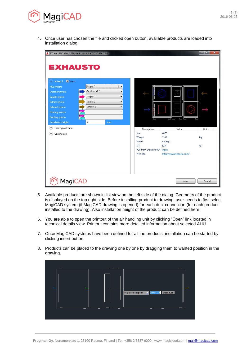

4. Once user has chosen the file and clicked open button, available products are loaded into installation dialog:

| <b>EXHAUSTO</b>                                                                                                                                            | A EXselectPRO MagiCAD plugin for AutoCAD - 2016.5.1.0                                                                                   |                                                                                          |                                                                              | أوكوركو<br>$\mathbf{x}$ |
|------------------------------------------------------------------------------------------------------------------------------------------------------------|-----------------------------------------------------------------------------------------------------------------------------------------|------------------------------------------------------------------------------------------|------------------------------------------------------------------------------|-------------------------|
| V Insert<br>Anlæg 1<br>Ahu system<br>Outdoor system<br>Supply system<br><b>Extract system</b><br><b>Exhaust system</b><br>Heating system<br>Cooling system | Supply 1<br>$\overline{\phantom{a}}$<br>Outdoor air 1<br>▼<br>Supply 1<br>$\blacktriangledown$<br>Extract 1<br>۰<br>Exhaust 1<br>▼<br>v |                                                                                          | لکا کا<br>ر د پر د                                                           |                         |
| <b>Installation height</b><br>$\checkmark$<br>Heating coil water<br>Cooling coil<br>$(\checkmark)$                                                         | 0<br>mm                                                                                                                                 | Description<br>Size<br>Weight<br>Name<br><b>ETA</b><br>PDF from EXselectPRO<br>Web site: | Value<br>4070<br>1559<br>Anlæg 1<br>82,4<br>Open<br>http://www.exhausto.com/ | <b>Units</b><br>kg<br>% |
| <b>MagiCAD</b>                                                                                                                                             |                                                                                                                                         |                                                                                          | Insert                                                                       | Cancel                  |

- 5. Available products are shown in list view on the left side of the dialog. Geometry of the product is displayed on the top right side. Before installing product to drawing, user needs to first select MagiCAD system (if MagiCAD drawing is opened) for each duct connection (for each product installed to the drawing). Also installation height of the product can be defined here.
- 6. You are able to open the printout of the air handling unit by clicking "Open" link located in technical details view. Printout contains more detailed information about selected AHU.
- 7. Once MagiCAD systems have been defined for all the products, installation can be started by clicking insert button.
- 8. Products can be placed to the drawing one by one by dragging them to wanted position in the drawing.